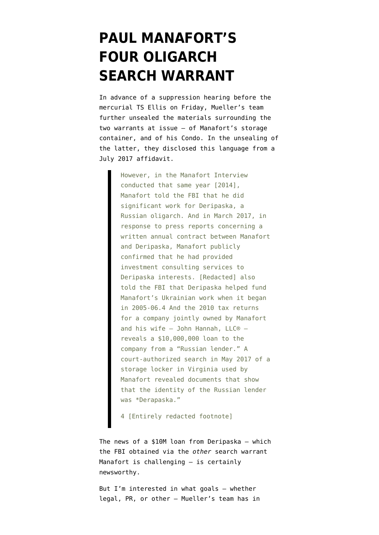## **[PAUL MANAFORT'S](https://www.emptywheel.net/2018/06/28/paul-manaforts-four-oligarch-search-warrant/) [FOUR OLIGARCH](https://www.emptywheel.net/2018/06/28/paul-manaforts-four-oligarch-search-warrant/) [SEARCH WARRANT](https://www.emptywheel.net/2018/06/28/paul-manaforts-four-oligarch-search-warrant/)**

In advance of a [suppression](https://www.emptywheel.net/2018/04/11/manaforts-suppression-motion-tries-to-suppress-any-june-9-meeting-information-obtained/) hearing before the mercurial TS Ellis on Friday, Mueller's team further unsealed the materials surrounding the two warrants at issue — of [Manafort's storage](https://www.politico.com/f/?id=00000164-4342-dd88-af77-f3ef135a0001) [container,](https://www.politico.com/f/?id=00000164-4342-dd88-af77-f3ef135a0001) and [of his Condo](https://www.politico.com/f/?id=00000164-4342-dbdc-a96d-777ac6240001). In the unsealing of the latter, they disclosed this language from a July 2017 affidavit.

> However, in the Manafort Interview conducted that same year [2014], Manafort told the FBI that he did significant work for Deripaska, a Russian oligarch. And in March 2017, in response to press reports concerning a written annual contract between Manafort and Deripaska, Manafort publicly confirmed that he had provided investment consulting services to Deripaska interests. [Redacted] also told the FBI that Deripaska helped fund Manafort's Ukrainian work when it began in 2005-06.4 And the 2010 tax returns for a company jointly owned by Manafort and his wife — John Hannah, LLC® reveals a \$10,000,000 loan to the company from a "Russian lender." A court-authorized search in May 2017 of a storage locker in Virginia used by Manafort revealed documents that show that the identity of the Russian lender was \*Derapaska."

4 [Entirely redacted footnote]

The news of a \$10M loan from Deripaska — which the FBI obtained via the *other* search warrant Manafort is challenging — is certainly newsworthy.

But I'm interested in what goals — whether legal, PR, or other — Mueller's team has in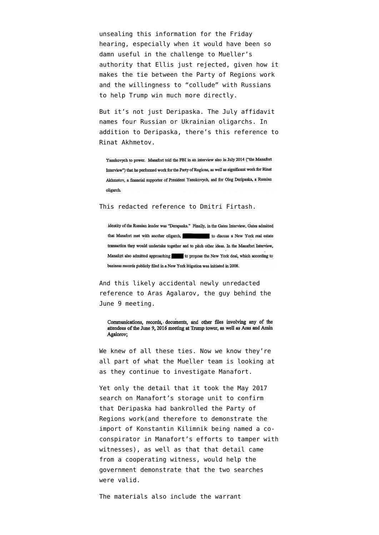unsealing this information for the Friday hearing, especially when it would have been so damn useful in the challenge to Mueller's authority that Ellis [just rejected](https://www.emptywheel.net/2018/06/27/in-trumpian-fashion-paul-manafort-wins-by-losing-on-challenge-to-mueller/), given how it makes the tie between the Party of Regions work and the willingness to "collude" with Russians to help Trump win much more directly.

But it's not just Deripaska. The July affidavit names four Russian or Ukrainian oligarchs. In addition to Deripaska, there's this reference to Rinat Akhmetov.

Yanukovych to power. Manafort told the FBI in an interview also in July 2014 ("the Manafort Interview") that he performed work for the Party of Regions, as well as significant work for Rinat Akhmetov, a financial supporter of President Yanukovych, and for Oleg Deripaska, a Russian oligarch.

## This redacted reference to Dmitri Firtash.

identity of the Russian lender was "Derapaska." Finally, in the Gates Interview, Gates admitted that Manafort met with another oligarch, to discuss a New York real estate transaction they would undertake together and to pitch other ideas. In the Manafort Interview, Manafort also admitted approaching to propose the New York deal, which according to business records publicly filed in a New York litigation was initiated in 2008.

And this likely accidental newly unredacted reference to Aras Agalarov, the guy behind the June 9 meeting.

Communications, records, documents, and other files involving any of the attendees of the June 9, 2016 meeting at Trump tower, as well as Aras and Amin Agalorov:

We knew of all these ties. Now we know they're all part of what the Mueller team is looking at as they continue to investigate Manafort.

Yet only the detail that it took the May 2017 search on Manafort's storage unit to confirm that Deripaska had bankrolled the Party of Regions work(and therefore to demonstrate the import of Konstantin Kilimnik being named a coconspirator in Manafort's efforts to tamper with witnesses), as well as that that detail came from a cooperating witness, would help the government demonstrate that the two searches were valid.

The materials also include the [warrant](https://www.emptywheel.net/wp-content/uploads/2018/06/180626-Manafort-Search-Warrant-.pdf)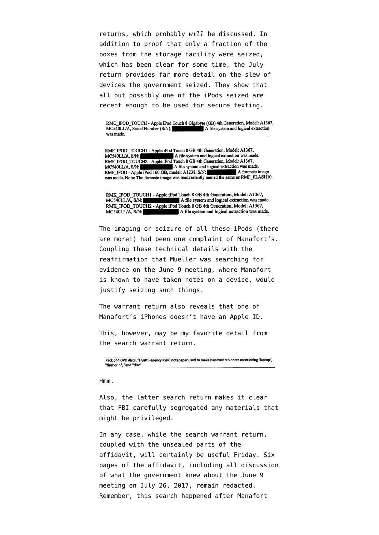[returns,](https://www.emptywheel.net/wp-content/uploads/2018/06/180626-Manafort-Search-Warrant-.pdf) which probably *will* be discussed. In addition to proof that only a fraction of the boxes from the storage facility were seized, [which has been clear for some time](https://www.emptywheel.net/2018/04/11/manaforts-suppression-motion-tries-to-suppress-any-june-9-meeting-information-obtained/), the July return provides far more detail on the slew of devices the government seized. They show that all but possibly one of the iPods seized are recent enough to be used for secure texting.

RMC\_IPOD\_TOUCH - Apple iPod Touch 8 Gigabyte (GB) 4th Generation, Model: A1367, MC540LL/A, Serial Number (S/N): A file system and logical extraction was made.

RMF\_IPOD\_TOUCH1 - Apple iPod Touch 8 GB 4th Generation, Model: A1367, A file system and logical extraction was made.  $MC540LL/A$ ,  $S/N$ : RMF\_IPOD\_TOUCH2 - Apple iPod Touch 8 GB 4th Generation, Model: A1367, A file system and logical extraction was made.  $MC540LL/A$ ,  $S/N$ : RMF\_IPOD - Apple iPod 160 GB, model: A1238, S/N: A forensic image was made. Note: The forensic image was inadvertently named the same as RMF\_FLASH10.

RMK\_IPOD\_TOUCH1 - Apple iPod Touch 8 GB 4th Generation, Model: A1367, MC540LL/A, S/N:<br>MC540LL/A, S/N:<br>RMK IPOD TOUCH2 - Apple iPod Touch 8 GB 4th Generation, Model: A1367, A file system and logical extraction was made. MC540LL/A, S/N: A file system and logical extraction was made.

The imaging or seizure of all these iPods (there are more!) had been one [complaint](https://www.emptywheel.net/2018/05/01/paul-manaforts-ipod-and-other-apple-product-habit-rivals-his-antique-rug-habit/) of Manafort's. Coupling these technical details with the reaffirmation that Mueller was searching for evidence on the June 9 meeting, where Manafort is known to have taken notes on a device, would justify seizing such things.

The warrant return also reveals that one of Manafort's iPhones doesn't have an Apple ID.

This, however, may be my favorite detail from the search warrant return.

Pack of 4 DVD discs, "Hyatt Regency Kyiv" notepaper used to make handwritten notes mentioning "laptop", "flashdrin", "and "disc"

Hmm.

Also, the latter search return makes it clear that FBI carefully segregated any materials that might be privileged.

In any case, while the search warrant return, coupled with the unsealed parts of the affidavit, will certainly be useful Friday. Six pages of the affidavit, including all discussion of what the government knew about the June 9 meeting on July 26, 2017, remain redacted. Remember, this search happened after Manafort